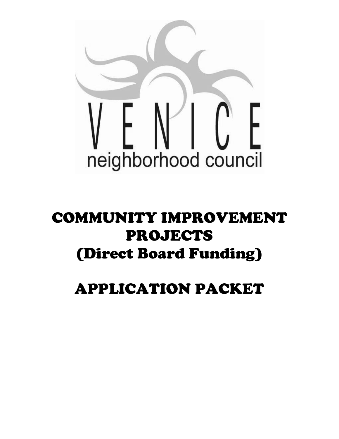

# COMMUNITY IMPROVEMENT PROJECTS (Direct Board Funding)

# APPLICATION PACKET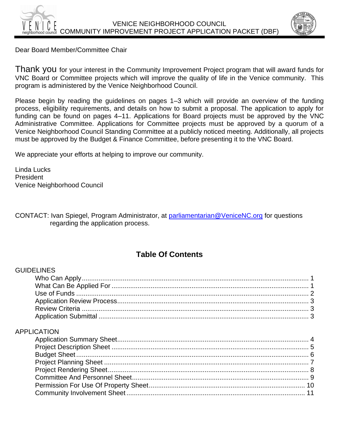

Dear Board Member/Committee Chair

Thank you for your interest in the Community Improvement Project program that will award funds for VNC Board or Committee projects which will improve the quality of life in the Venice community. This program is administered by the Venice Neighborhood Council.

Please begin by reading the guidelines on pages 1–3 which will provide an overview of the funding process, eligibility requirements, and details on how to submit a proposal. The application to apply for funding can be found on pages 4–11. Applications for Board projects must be approved by the VNC Administrative Committee. Applications for Committee projects must be approved by a quorum of a Venice Neighborhood Council Standing Committee at a publicly noticed meeting. Additionally, all projects must be approved by the Budget & Finance Committee, before presenting it to the VNC Board.

We appreciate your efforts at helping to improve our community.

Linda Lucks President Venice Neighborhood Council

CONTACT: Ivan Spiegel, Program Administrator, at [parliamentarian@VeniceNC.org](mailto:parliamentarian@VeniceNC.org) for questions regarding the application process.

### **Table Of Contents**

#### GUIDELINES

#### APPLICATION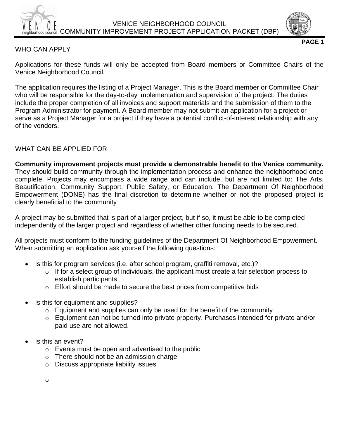



**PAGE 1**

#### WHO CAN APPLY

Applications for these funds will only be accepted from Board members or Committee Chairs of the Venice Neighborhood Council.

The application requires the listing of a Project Manager. This is the Board member or Committee Chair who will be responsible for the day-to-day implementation and supervision of the project. The duties include the proper completion of all invoices and support materials and the submission of them to the Program Administrator for payment. A Board member may not submit an application for a project or serve as a Project Manager for a project if they have a potential conflict-of-interest relationship with any of the vendors.

#### WHAT CAN BE APPLIED FOR

**Community improvement projects must provide a demonstrable benefit to the Venice community.** They should build community through the implementation process and enhance the neighborhood once complete. Projects may encompass a wide range and can include, but are not limited to: The Arts, Beautification, Community Support, Public Safety, or Education. The Department Of Neighborhood Empowerment (DONE) has the final discretion to determine whether or not the proposed project is clearly beneficial to the community

A project may be submitted that is part of a larger project, but if so, it must be able to be completed independently of the larger project and regardless of whether other funding needs to be secured.

All projects must conform to the funding guidelines of the Department Of Neighborhood Empowerment. When submitting an application ask yourself the following questions:

- Is this for program services (i.e. after school program, graffiti removal, etc.)?
	- o If for a select group of individuals, the applicant must create a fair selection process to establish participants
	- o Effort should be made to secure the best prices from competitive bids
- Is this for equipment and supplies?
	- o Equipment and supplies can only be used for the benefit of the community
	- o Equipment can not be turned into private property. Purchases intended for private and/or paid use are not allowed.
- Is this an event?
	- o Events must be open and advertised to the public
	- o There should not be an admission charge
	- o Discuss appropriate liability issues

o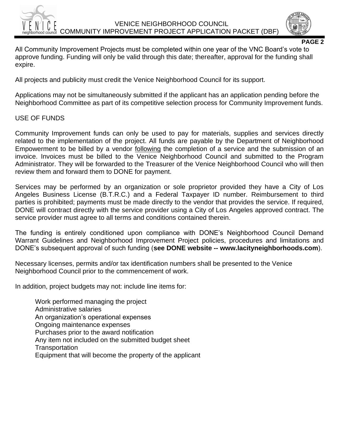

**PAGE 2**

All Community Improvement Projects must be completed within one year of the VNC Board's vote to approve funding. Funding will only be valid through this date; thereafter, approval for the funding shall expire.

All projects and publicity must credit the Venice Neighborhood Council for its support.

Applications may not be simultaneously submitted if the applicant has an application pending before the Neighborhood Committee as part of its competitive selection process for Community Improvement funds.

#### USE OF FUNDS

Community Improvement funds can only be used to pay for materials, supplies and services directly related to the implementation of the project. All funds are payable by the Department of Neighborhood Empowerment to be billed by a vendor following the completion of a service and the submission of an invoice. Invoices must be billed to the Venice Neighborhood Council and submitted to the Program Administrator. They will be forwarded to the Treasurer of the Venice Neighborhood Council who will then review them and forward them to DONE for payment.

Services may be performed by an organization or sole proprietor provided they have a City of Los Angeles Business License (B.T.R.C.) and a Federal Taxpayer ID number. Reimbursement to third parties is prohibited; payments must be made directly to the vendor that provides the service. If required, DONE will contract directly with the service provider using a City of Los Angeles approved contract. The service provider must agree to all terms and conditions contained therein.

The funding is entirely conditioned upon compliance with DONE's Neighborhood Council Demand Warrant Guidelines and Neighborhood Improvement Project policies, procedures and limitations and DONE's subsequent approval of such funding (**see DONE website -- www.lacityneighborhoods.com**).

Necessary licenses, permits and/or tax identification numbers shall be presented to the Venice Neighborhood Council prior to the commencement of work.

In addition, project budgets may not: include line items for:

Work performed managing the project Administrative salaries An organization's operational expenses Ongoing maintenance expenses Purchases prior to the award notification Any item not included on the submitted budget sheet **Transportation** Equipment that will become the property of the applicant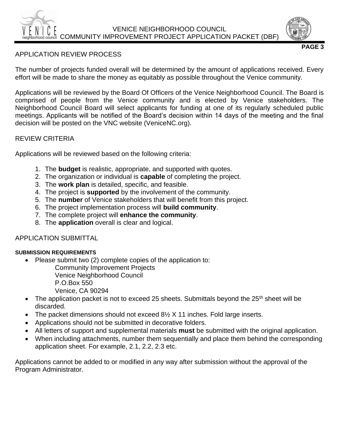#### APPLICATION REVIEW PROCESS

The number of projects funded overall will be determined by the amount of applications received. Every effort will be made to share the money as equitably as possible throughout the Venice community.

Applications will be reviewed by the Board Of Officers of the Venice Neighborhood Council. The Board is comprised of people from the Venice community and is elected by Venice stakeholders. The Neighborhood Council Board will select applicants for funding at one of its regularly scheduled public meetings. Applicants will be notified of the Board's decision within 14 days of the meeting and the final decision will be posted on the VNC website (VeniceNC.org).

#### REVIEW CRITERIA

Applications will be reviewed based on the following criteria:

- 1. The **budget** is realistic, appropriate, and supported with quotes.
- 2. The organization or individual is **capable** of completing the project.
- 3. The **work plan** is detailed, specific, and feasible.
- 4. The project is **supported** by the involvement of the community.
- 5. The **number** of Venice stakeholders that will benefit from this project.
- 6. The project implementation process will **build community**.
- 7. The complete project will **enhance the community**.
- 8. The **application** overall is clear and logical.

#### APPLICATION SUBMITTAL

#### **SUBMISSION REQUIREMENTS**

• Please submit two (2) complete copies of the application to:

Community Improvement Projects

Venice Neighborhood Council

P.O.Box 550

Venice, CA 90294

- The application packet is not to exceed 25 sheets. Submittals beyond the  $25<sup>th</sup>$  sheet will be discarded.
- The packet dimensions should not exceed 8½ X 11 inches. Fold large inserts.
- Applications should not be submitted in decorative folders.
- All letters of support and supplemental materials **must** be submitted with the original application.
- When including attachments, number them sequentially and place them behind the corresponding application sheet. For example, 2.1, 2.2, 2.3 etc.

Applications cannot be added to or modified in any way after submission without the approval of the Program Administrator.



**PAGE 3**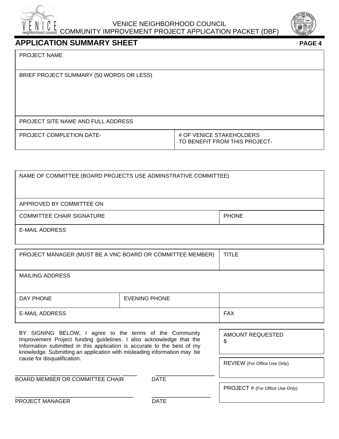



#### **APPLICATION SUMMARY SHEET PAGE 4**

BRIEF PROJECT SUMMARY (50 WORDS OR LESS)

PROJECT SITE NAME AND FULL ADDRESS

PROJECT COMPLETION DATE-<br>  $\frac{1}{2}$  OF VENICE STAKEHOLDERS

TO BENEFIT FROM THIS PROJECT-

|  | NAME OF COMMITTEE (BOARD PROJECTS USE ADMINSTRATIVE COMMITTEE) |
|--|----------------------------------------------------------------|
|--|----------------------------------------------------------------|

APPROVED BY COMMITTEE ON

COMMITTEE CHAIR SIGNATURE **PHONE** 

E-MAIL ADDRESS

| PROJECT MANAGER (MUST BE A VNC BOARD OR COMMITTEE MEMBER) | <b>TITLE</b>  |            |
|-----------------------------------------------------------|---------------|------------|
| <b>MAILING ADDRESS</b>                                    |               |            |
| DAY PHONE                                                 | EVENING PHONE |            |
| E-MAIL ADDRESS                                            |               | <b>FAX</b> |

BY SIGNING BELOW, I agree to the terms of the Community Improvement Project funding guidelines. I also acknowledge that the Information submitted in this application is accurate to the best of my knowledge. Submitting an application with misleading information may be cause for disqualification.

AMOUNT REQUESTED \$

REVIEW (For Office Use Only)

\_\_\_\_\_\_\_\_\_ \_\_\_\_\_\_\_\_\_\_\_\_\_\_\_\_\_\_\_ \_\_\_\_ \_\_\_\_\_\_\_\_\_\_\_\_\_\_\_\_ BOARD MEMBER OR COMMITTEE CHAIR DATE

PROJECT # (For Office Use Only)

PROJECT MANAGER DATE

\_\_\_\_\_\_\_\_\_\_\_\_\_\_\_\_\_\_\_\_\_\_\_\_\_\_\_\_\_\_\_\_ \_\_\_\_\_\_\_\_\_\_\_\_\_\_\_\_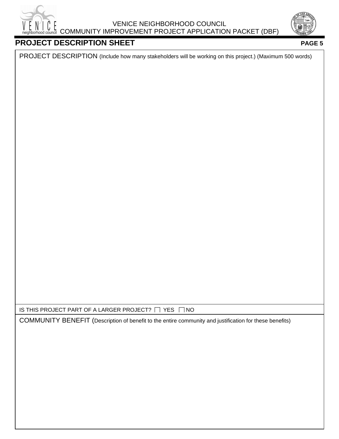



### **PROJECT DESCRIPTION SHEET PAGE 5**

PROJECT DESCRIPTION (Include how many stakeholders will be working on this project.) (Maximum 500 words)

IS THIS PROJECT PART OF A LARGER PROJECT?  $\Box$  YES  $\Box$  NO

COMMUNITY BENEFIT (Description of benefit to the entire community and justification for these benefits)

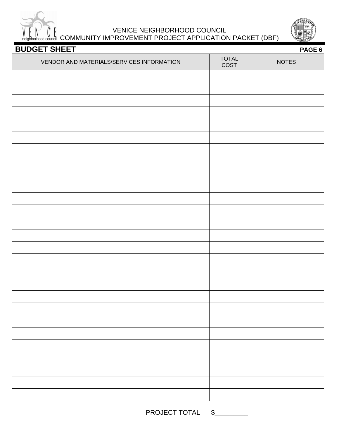

#### VENICE NEIGHBORHOOD COUNCIL VENICE NEIGHBORHOOD COONCIL<br>
Reighborhood council COMMUNITY IMPROVEMENT PROJECT APPLICATION PACKET (DBF)



| <b>BUDGET SHEET</b><br>PAGE 6             |               |              |
|-------------------------------------------|---------------|--------------|
| VENDOR AND MATERIALS/SERVICES INFORMATION | TOTAL<br>COST | <b>NOTES</b> |
|                                           |               |              |
|                                           |               |              |
|                                           |               |              |
|                                           |               |              |
|                                           |               |              |
|                                           |               |              |
|                                           |               |              |
|                                           |               |              |
|                                           |               |              |
|                                           |               |              |
|                                           |               |              |
|                                           |               |              |
|                                           |               |              |
|                                           |               |              |
|                                           |               |              |
|                                           |               |              |
|                                           |               |              |
|                                           |               |              |
|                                           |               |              |
|                                           |               |              |
|                                           |               |              |
|                                           |               |              |
|                                           |               |              |
|                                           |               |              |
|                                           |               |              |

PROJECT TOTAL \$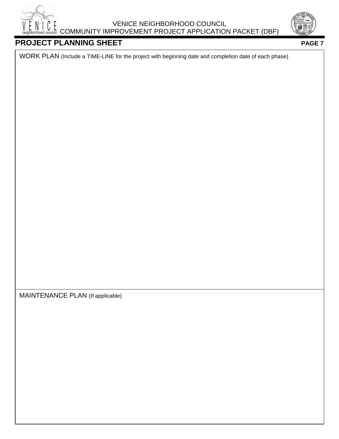



#### **PROJECT PLANNING SHEET PROJECT PLANNING SHEET**

WORK PLAN (Include a TIME-LINE for the project with beginning date and completion date of each phase)

MAINTENANCE PLAN (If applicable)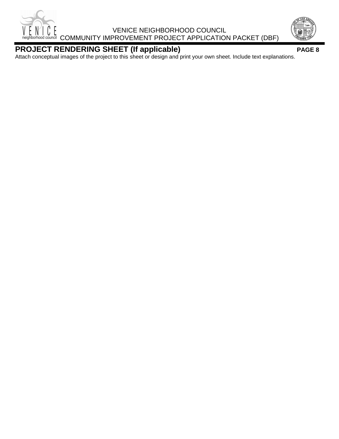



#### **PROJECT RENDERING SHEET (If applicable) PAGE 8**

Attach conceptual images of the project to this sheet or design and print your own sheet. Include text explanations.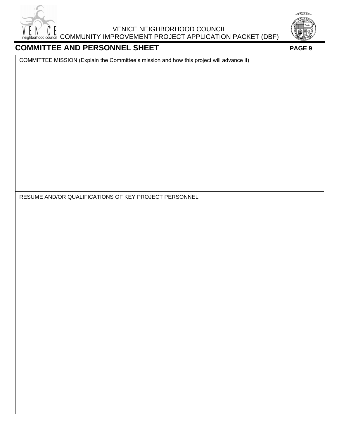



### **COMMITTEE AND PERSONNEL SHEET PAGE 9**

COMMITTEE MISSION (Explain the Committee's mission and how this project will advance it)

RESUME AND/OR QUALIFICATIONS OF KEY PROJECT PERSONNEL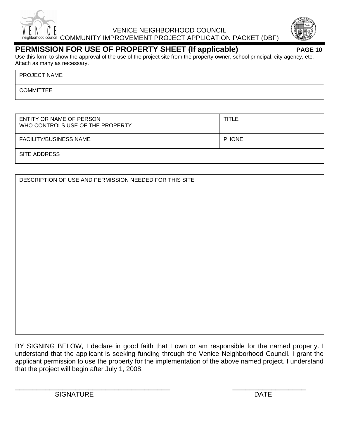



#### **PERMISSION FOR USE OF PROPERTY SHEET (If applicable) PAGE 10**

Use this form to show the approval of the use of the project site from the property owner, school principal, city agency, etc. Attach as many as necessary.

PROJECT NAME

**COMMITTEE** 

| ENTITY OR NAME OF PERSON<br>WHO CONTROLS USE OF THE PROPERTY | TITLE        |
|--------------------------------------------------------------|--------------|
| <b>FACILITY/BUSINESS NAME</b>                                | <b>PHONE</b> |
| SITE ADDRESS                                                 |              |

BY SIGNING BELOW, I declare in good faith that I own or am responsible for the named property. I understand that the applicant is seeking funding through the Venice Neighborhood Council. I grant the applicant permission to use the property for the implementation of the above named project. I understand that the project will begin after July 1, 2008.

 $\overline{\phantom{a}}$  , and the contract of the contract of the contract of the contract of the contract of the contract of the contract of the contract of the contract of the contract of the contract of the contract of the contrac